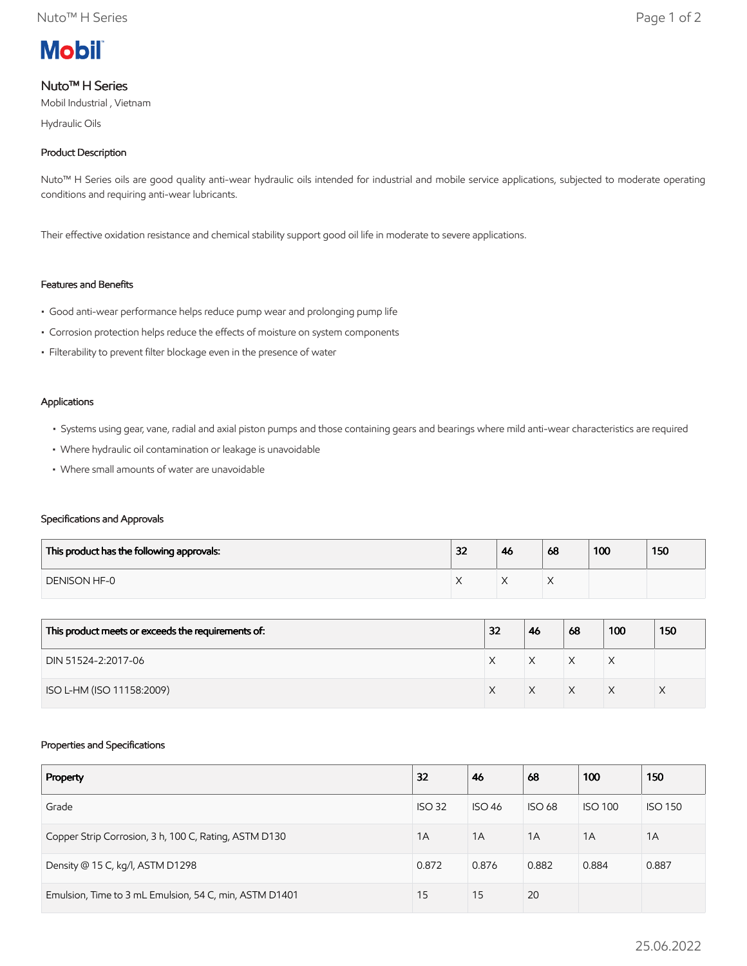

# Nuto™ H Series

Mobil Industrial , Vietnam

Hydraulic Oils

## Product Description

Nuto<sup>™</sup> H Series oils are good quality anti-wear hydraulic oils intended for industrial and mobile service applications, subjected to moderate operating conditions and requiring anti-wear lubricants.

Their effective oxidation resistance and chemical stability support good oil life in moderate to severe applications.

## Features and Benefits

- Good anti-wear performance helps reduce pump wear and prolonging pump life
- Corrosion protection helps reduce the effects of moisture on system components
- Filterability to prevent filter blockage even in the presence of water

#### Applications

- Systems using gear, vane, radial and axial piston pumps and those containing gears and bearings where mild anti-wear characteristics are required
- Where hydraulic oil contamination or leakage is unavoidable
- Where small amounts of water are unavoidable

### Specifications and Approvals

| This product has the following approvals: | 32 | 46 | 68 | 100 | 150 |
|-------------------------------------------|----|----|----|-----|-----|
| DENISON HF-0                              |    | 73 |    |     |     |

| This product meets or exceeds the requirements of: | 32 | 46 | 68 | 100 | 150 |
|----------------------------------------------------|----|----|----|-----|-----|
| DIN 51524-2:2017-06                                |    | X  | X  | ⋏   |     |
| ISO L-HM (ISO 11158:2009)                          |    |    | X  |     |     |

### Properties and Specifications

| Property                                               | 32            | 46            | 68            | 100            | 150            |
|--------------------------------------------------------|---------------|---------------|---------------|----------------|----------------|
| Grade                                                  | <b>ISO 32</b> | <b>ISO 46</b> | <b>ISO 68</b> | <b>ISO 100</b> | <b>ISO 150</b> |
| Copper Strip Corrosion, 3 h, 100 C, Rating, ASTM D130  | 1A            | 1A            | 1A            | 1A             | 1A             |
| Density @ 15 C, kg/l, ASTM D1298                       | 0.872         | 0.876         | 0.882         | 0.884          | 0.887          |
| Emulsion, Time to 3 mL Emulsion, 54 C, min, ASTM D1401 | 15            | 15            | 20            |                |                |